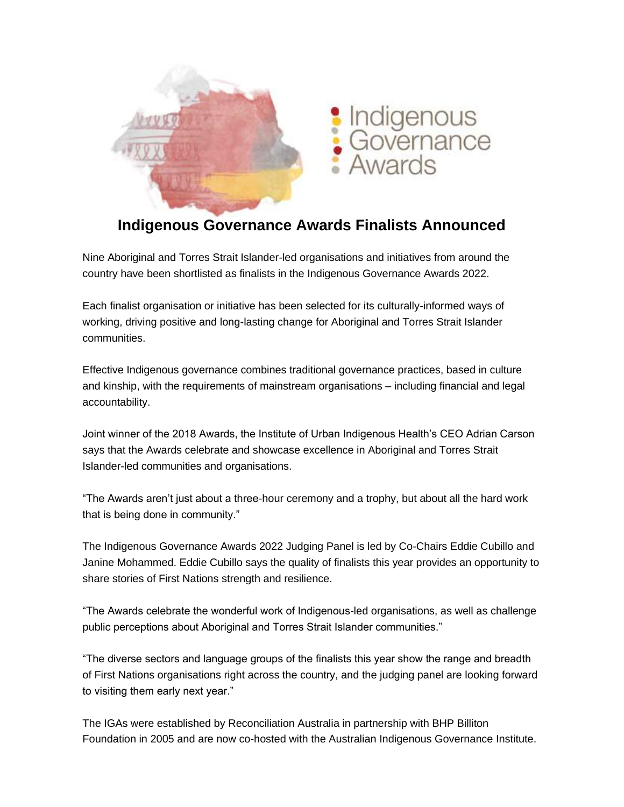

## **Indigenous Governance Awards Finalists Announced**

Nine Aboriginal and Torres Strait Islander-led organisations and initiatives from around the country have been shortlisted as finalists in the Indigenous Governance Awards 2022.

Each finalist organisation or initiative has been selected for its culturally-informed ways of working, driving positive and long-lasting change for Aboriginal and Torres Strait Islander communities.

Effective Indigenous governance combines traditional governance practices, based in culture and kinship, with the requirements of mainstream organisations – including financial and legal accountability.

Joint winner of the 2018 Awards, the Institute of Urban Indigenous Health's CEO Adrian Carson says that the Awards celebrate and showcase excellence in Aboriginal and Torres Strait Islander-led communities and organisations.

"The Awards aren't just about a three-hour ceremony and a trophy, but about all the hard work that is being done in community."

The Indigenous Governance Awards 2022 Judging Panel is led by Co-Chairs Eddie Cubillo and Janine Mohammed. Eddie Cubillo says the quality of finalists this year provides an opportunity to share stories of First Nations strength and resilience.

"The Awards celebrate the wonderful work of Indigenous-led organisations, as well as challenge public perceptions about Aboriginal and Torres Strait Islander communities."

"The diverse sectors and language groups of the finalists this year show the range and breadth of First Nations organisations right across the country, and the judging panel are looking forward to visiting them early next year."

The IGAs were established by Reconciliation Australia in partnership with BHP Billiton Foundation in 2005 and are now co-hosted with the Australian Indigenous Governance Institute.